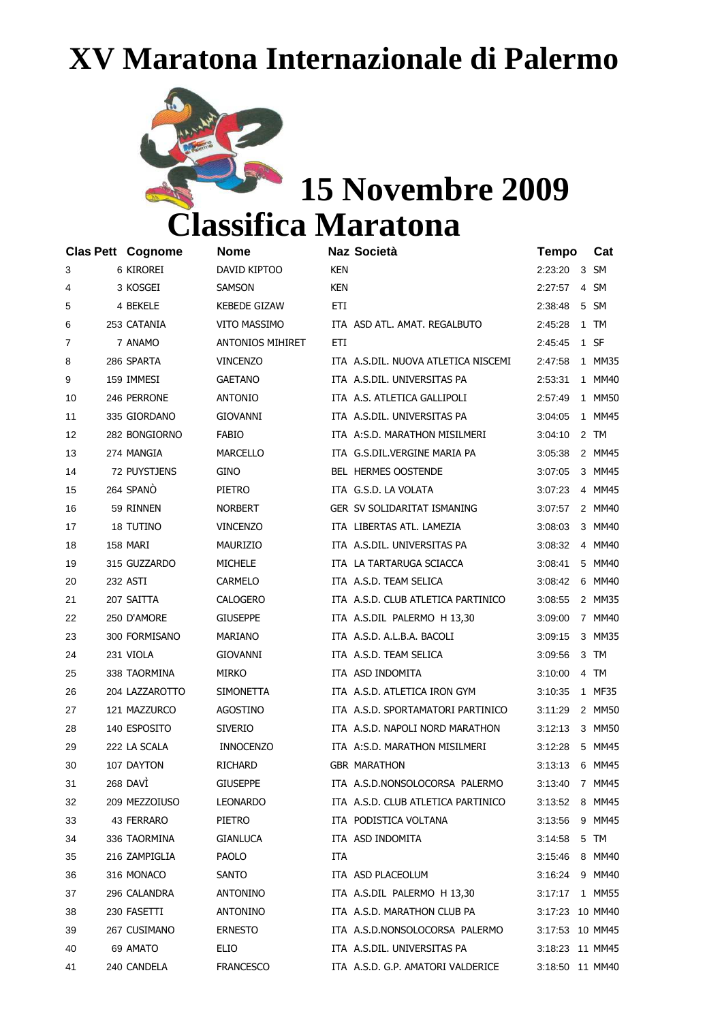## **XV Maratona Internazionale di Palermo**



## **15 Novembre 2009 Classifica Maratona**

**Clas Pett Cognome Nome Naz Società Tempo Cat** 3 6 KIROREI DAVID KIPTOO KEN 2:23:20 3 SM 4 3 KOSGEI SAMSON KEN 2:27:57 4 SM 5 4 BEKELE KEBEDE GIZAW ETI 2:38:48 5 SM 6 253 CATANIA VITO MASSIMO ITA ASD ATL. AMAT. REGALBUTO 2:45:28 1 TM 7 7 ANAMO ANTONIOS MIHIRET ETI 2:45:45 1 SF 8 286 SPARTA VINCENZO ITA A.S.DIL. NUOVA ATLETICA NISCEMI 2:47:58 1 MM35 9 159 IMMESI GAETANO ITA A.S.DIL. UNIVERSITAS PA 2:53:31 1 MM40 10 246 PERRONE ANTONIO ITA A.S. ATLETICA GALLIPOLI 2:57:49 1 MM50 11 335 GIORDANO GIOVANNI ITA A.S.DIL. UNIVERSITAS PA 3:04:05 1 MM45 12 282 BONGIORNO FABIO ITA A:S.D. MARATHON MISILMERI 3:04:10 2 TM 13 274 MANGIA MARCELLO ITA G.S.DIL.VERGINE MARIA PA 3:05:38 2 MM45 14 72 PUYSTJENS GINO BEL HERMES OOSTENDE 3:07:05 3 MM45 15 264 SPANÒ PIETRO ITA G.S.D. LA VOLATA 3:07:23 4 MM45 16 59 RINNEN NORBERT GER SV SOLIDARITAT ISMANING 3:07:57 2 MM40 17 18 TUTINO VINCENZO ITA LIBERTAS ATL. LAMEZIA 3:08:03 3 MM40 18 158 MARI MAURIZIO ITA A.S.DIL. UNIVERSITAS PA 3:08:32 4 MM40 19 315 GUZZARDO MICHELE ITA LA TARTARUGA SCIACCA 3:08:41 5 MM40 20 232 ASTI CARMELO ITA A.S.D. TEAM SELICA 3:08:42 6 MM40 21 207 SAITTA CALOGERO ITA A.S.D. CLUB ATLETICA PARTINICO 3:08:55 2 MM35 22 250 D'AMORE GIUSEPPE ITA A.S.DIL PALERMO H 13,30 3:09:00 7 MM40 23 300 FORMISANO MARIANO ITA A.S.D. A.L.B.A. BACOLI 3:09:15 3 MM35 24 231 VIOLA GIOVANNI ITA A.S.D. TEAM SELICA 3:09:56 3 TM 25 338 TAORMINA MIRKO ITA ASD INDOMITA 3:10:00 4 TM 26 204 LAZZAROTTO SIMONETTA ITA A.S.D. ATLETICA IRON GYM 3:10:35 1 MF35 27 121 MAZZURCO AGOSTINO ITA A.S.D. SPORTAMATORI PARTINICO 3:11:29 2 MM50 28 140 ESPOSITO SIVERIO ITA A.S.D. NAPOLI NORD MARATHON 3:12:13 3 MM50 29 222 LA SCALA INNOCENZO ITA A:S.D. MARATHON MISILMERI 3:12:28 5 MM45 30 107 DAYTON RICHARD GBR MARATHON 3:13:13 6 MM45 31 268 DAVÌ GIUSEPPE ITA A.S.D.NONSOLOCORSA PALERMO 3:13:40 7 MM45 32 209 MEZZOIUSO LEONARDO ITA A.S.D. CLUB ATLETICA PARTINICO 3:13:52 8 MM45 33 43 FERRARO PIETRO ITA PODISTICA VOLTANA 3:13:56 9 MM45 34 336 TAORMINA GIANLUCA ITA ASD INDOMITA 3:14:58 5 TM 35 216 ZAMPIGLIA PAOLO ITA 3:15:46 8 MM40 36 316 MONACO SANTO ITA ASD PLACEOLUM 3:16:24 9 MM40 37 296 CALANDRA ANTONINO ITA A.S.DIL PALERMO H 13,30 3:17:17 1 MM55 38 230 FASETTI ANTONINO ITA A.S.D. MARATHON CLUB PA 3:17:23 10 MM40 39 267 CUSIMANO ERNESTO ITA A.S.D.NONSOLOCORSA PALERMO 3:17:53 10 MM45 40 69 AMATO ELIO ITA A.S.DIL. UNIVERSITAS PA 3:18:23 11 MM45 41 240 CANDELA FRANCESCO ITA A.S.D. G.P. AMATORI VALDERICE 3:18:50 11 MM40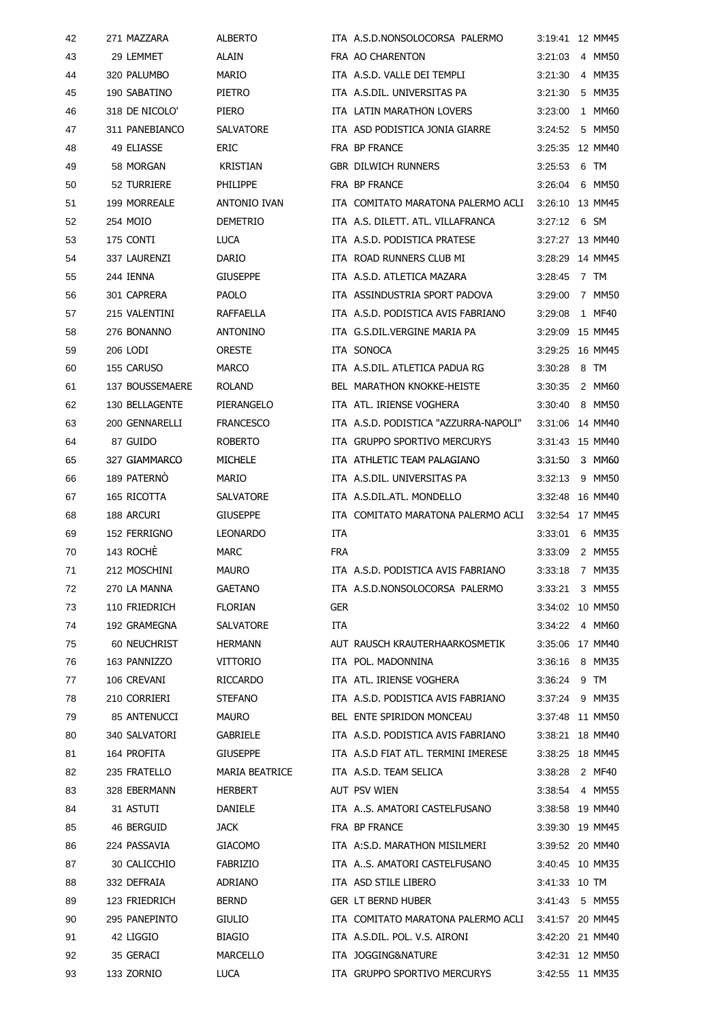| 42 | 271 MAZZARA     | <b>ALBERTO</b>                    |            | ITA A.S.D.NONSOLOCORSA PALERMO                                 | 3:19:41         | 12 MM45 |
|----|-----------------|-----------------------------------|------------|----------------------------------------------------------------|-----------------|---------|
| 43 | 29 LEMMET       | <b>ALAIN</b>                      |            | FRA AO CHARENTON                                               | 3:21:03         | 4 MM50  |
| 44 | 320 PALUMBO     | <b>MARIO</b>                      |            | ITA A.S.D. VALLE DEI TEMPLI                                    | 3:21:30         | 4 MM35  |
| 45 | 190 SABATINO    | <b>PIETRO</b>                     |            | ITA A.S.DIL. UNIVERSITAS PA                                    | 3:21:30         | 5 MM35  |
| 46 | 318 DE NICOLO'  | PIERO                             |            | ITA LATIN MARATHON LOVERS                                      | 3:23:00         | 1 MM60  |
| 47 | 311 PANEBIANCO  | SALVATORE                         |            | ITA ASD PODISTICA JONIA GIARRE                                 | 3:24:52         | 5 MM50  |
| 48 | 49 ELIASSE      | ERIC                              |            | FRA BP FRANCE                                                  | 3:25:35 12 MM40 |         |
| 49 | 58 MORGAN       | <b>KRISTIAN</b>                   |            | <b>GBR DILWICH RUNNERS</b>                                     | 3:25:53         | 6 TM    |
| 50 | 52 TURRIERE     | PHILIPPE                          |            | FRA BP FRANCE                                                  | 3.26:04         | 6 MM50  |
| 51 | 199 MORREALE    | <b>ANTONIO IVAN</b>               |            | ITA COMITATO MARATONA PALERMO ACLI                             | 3:26:10 13 MM45 |         |
| 52 | 254 MOIO        | <b>DEMETRIO</b>                   |            | ITA A.S. DILETT. ATL. VILLAFRANCA                              | 3:27:12         | 6 SM    |
| 53 | 175 CONTI       | LUCA                              |            | ITA A.S.D. PODISTICA PRATESE                                   | 3:27:27 13 MM40 |         |
| 54 | 337 LAURENZI    | <b>DARIO</b>                      |            | ITA ROAD RUNNERS CLUB MI                                       | 3:28:29 14 MM45 |         |
| 55 | 244 IENNA       | <b>GIUSEPPE</b>                   |            | ITA A.S.D. ATLETICA MAZARA                                     | 3:28:45         | 7 TM    |
| 56 | 301 CAPRERA     | <b>PAOLO</b>                      |            | ITA ASSINDUSTRIA SPORT PADOVA                                  | 3:29:00         | 7 MM50  |
| 57 | 215 VALENTINI   | <b>RAFFAELLA</b>                  |            | ITA A.S.D. PODISTICA AVIS FABRIANO                             | 3:29:08         | 1 MF40  |
| 58 | 276 BONANNO     | <b>ANTONINO</b>                   |            | ITA G.S.DIL.VERGINE MARIA PA                                   | 3:29.09         | 15 MM45 |
| 59 | 206 LODI        | <b>ORESTE</b>                     |            | ITA SONOCA                                                     | 3:29:25         | 16 MM45 |
| 60 | 155 CARUSO      | <b>MARCO</b>                      |            | ITA A.S.DIL. ATLETICA PADUA RG                                 | 3:30:28         | 8 TM    |
| 61 | 137 BOUSSEMAERE | <b>ROLAND</b>                     |            | <b>BEL MARATHON KNOKKE-HEISTE</b>                              | 3:30:35         | 2 MM60  |
| 62 | 130 BELLAGENTE  | PIERANGELO                        |            | ITA ATL. IRIENSE VOGHERA                                       | 3:30:40         | 8 MM50  |
| 63 | 200 GENNARELLI  | <b>FRANCESCO</b>                  |            | ITA A.S.D. PODISTICA "AZZURRA-NAPOLI"                          | 3:31:06         | 14 MM40 |
| 64 | 87 GUIDO        | <b>ROBERTO</b>                    |            | ITA GRUPPO SPORTIVO MERCURYS                                   | 3:31:43 15 MM40 |         |
| 65 | 327 GIAMMARCO   | MICHELE                           |            | ITA ATHLETIC TEAM PALAGIANO                                    | 3:31:50         | 3 MM60  |
| 66 | 189 PATERNO     | <b>MARIO</b>                      |            | ITA A.S.DIL. UNIVERSITAS PA                                    | 3:32:13         | 9 MM50  |
| 67 | 165 RICOTTA     | SALVATORE                         |            | ITA A.S.DIL.ATL. MONDELLO                                      | 3:32:48 16 MM40 |         |
| 68 | 188 ARCURI      | <b>GIUSEPPE</b>                   |            | ITA COMITATO MARATONA PALERMO ACLI                             | 3:32:54         | 17 MM45 |
| 69 | 152 FERRIGNO    | <b>LEONARDO</b>                   | ITA        |                                                                | 3:33.01         | 6 MM35  |
| 70 | 143 ROCHE       | <b>MARC</b>                       | <b>FRA</b> |                                                                | 3:33:09         | 2 MM55  |
| 71 | 212 MOSCHINI    | <b>MAURO</b>                      |            | ITA A.S.D. PODISTICA AVIS FABRIANO                             | 3:33:18 7 MM35  |         |
| 72 | 270 LA MANNA    | <b>GAETANO</b>                    |            | ITA A.S.D.NONSOLOCORSA PALERMO                                 | 3:33:21         | 3 MM55  |
| 73 | 110 FRIEDRICH   | <b>FLORIAN</b>                    | <b>GER</b> |                                                                | 3:34:02 10 MM50 |         |
| 74 | 192 GRAMEGNA    | SALVATORE                         | ITA        |                                                                | 3:34:22         | 4 MM60  |
|    |                 |                                   |            |                                                                | 3:35:06 17 MM40 |         |
| 75 | 60 NEUCHRIST    | <b>HERMANN</b><br><b>VITTORIO</b> |            | AUT RAUSCH KRAUTERHAARKOSMETIK                                 |                 |         |
| 76 | 163 PANNIZZO    |                                   |            | ITA POL. MADONNINA                                             | 3:36.16         | 8 MM35  |
| 77 | 106 CREVANI     | RICCARDO                          |            | ITA ATL. IRIENSE VOGHERA<br>ITA A.S.D. PODISTICA AVIS FABRIANO | $3:36:24$ 9 TM  | 9 MM35  |
| 78 | 210 CORRIERI    | <b>STEFANO</b>                    |            |                                                                | 3:37:24         |         |
| 79 | 85 ANTENUCCI    | <b>MAURO</b>                      |            | BEL ENTE SPIRIDON MONCEAU                                      | 3:37:48 11 MM50 |         |
| 80 | 340 SALVATORI   | <b>GABRIELE</b>                   |            | ITA A.S.D. PODISTICA AVIS FABRIANO                             | 3:38:21 18 MM40 |         |
| 81 | 164 PROFITA     | <b>GIUSEPPE</b>                   |            | ITA A.S.D FIAT ATL. TERMINI IMERESE                            | 3:38:25 18 MM45 |         |
| 82 | 235 FRATELLO    | <b>MARIA BEATRICE</b>             |            | ITA A.S.D. TEAM SELICA                                         | 3:38:28         | 2 MF40  |
| 83 | 328 EBERMANN    | <b>HERBERT</b>                    |            | AUT PSV WIEN                                                   | 3:38:54 4 MM55  |         |
| 84 | 31 ASTUTI       | DANIELE                           |            | ITA A.S. AMATORI CASTELFUSANO                                  | 3:38:58 19 MM40 |         |
| 85 | 46 BERGUID      | <b>JACK</b>                       |            | FRA BP FRANCE                                                  | 3:39:30 19 MM45 |         |
| 86 | 224 PASSAVIA    | <b>GIACOMO</b>                    |            | ITA A:S.D. MARATHON MISILMERI                                  | 3:39:52 20 MM40 |         |
| 87 | 30 CALICCHIO    | FABRIZIO                          |            | ITA A.S. AMATORI CASTELFUSANO                                  | 3:40:45 10 MM35 |         |
| 88 | 332 DEFRAIA     | ADRIANO                           |            | ITA ASD STILE LIBERO                                           | 3:41:33 10 TM   |         |
| 89 | 123 FRIEDRICH   | <b>BERND</b>                      |            | <b>GER LT BERND HUBER</b>                                      | 3:41:43 5 MM55  |         |
| 90 | 295 PANEPINTO   | <b>GIULIO</b>                     |            | ITA COMITATO MARATONA PALERMO ACLI 3:41:57 20 MM45             |                 |         |
| 91 | 42 LIGGIO       | <b>BIAGIO</b>                     |            | ITA A.S.DIL. POL. V.S. AIRONI                                  | 3:42:20 21 MM40 |         |
| 92 | 35 GERACI       | <b>MARCELLO</b>                   |            | ITA JOGGING&NATURE                                             | 3:42:31 12 MM50 |         |
| 93 | 133 ZORNIO      | LUCA                              |            | ITA GRUPPO SPORTIVO MERCURYS                                   | 3:42:55 11 MM35 |         |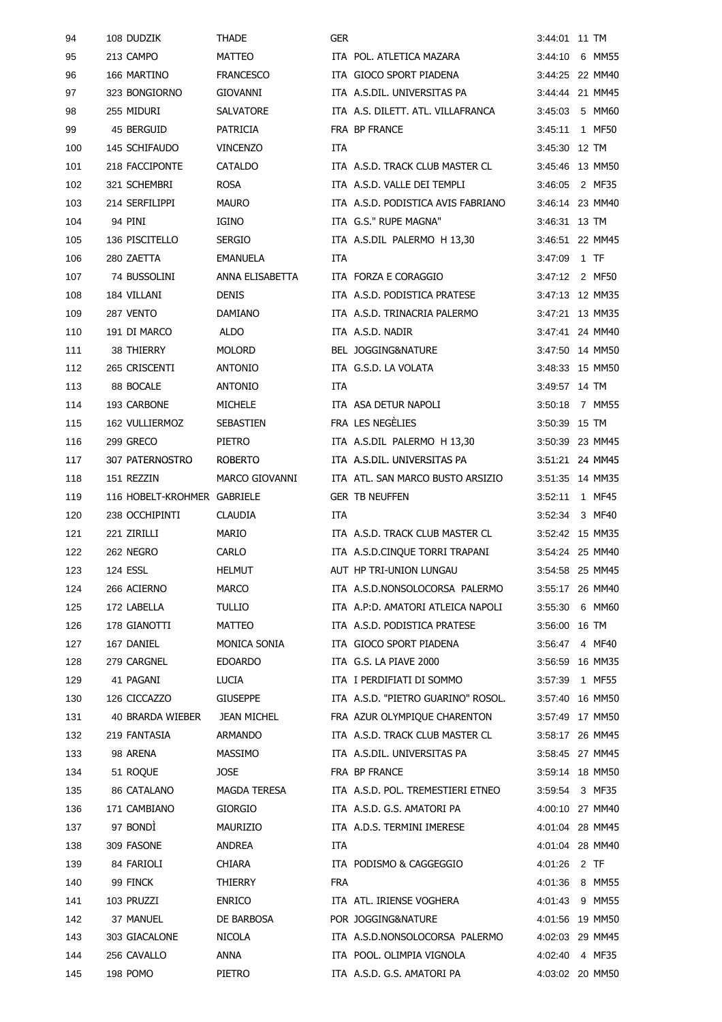| 94  | 108 DUDZIK                  | <b>THADE</b>          | <b>GER</b> |                                    | 3:44:01         |      | 11 TM  |
|-----|-----------------------------|-----------------------|------------|------------------------------------|-----------------|------|--------|
| 95  | 213 CAMPO                   | <b>MATTEO</b>         |            | ITA POL. ATLETICA MAZARA           | 3:44:10         |      | 6 MM55 |
| 96  | 166 MARTINO                 | <b>FRANCESCO</b>      |            | ITA GIOCO SPORT PIADENA            | 3:44:25 22 MM40 |      |        |
| 97  | 323 BONGIORNO               | <b>GIOVANNI</b>       |            | ITA A.S.DIL. UNIVERSITAS PA        | 3:44:44 21 MM45 |      |        |
| 98  | 255 MIDURI                  | SALVATORE             |            | ITA A.S. DILETT. ATL. VILLAFRANCA  | 3:45:03         |      | 5 MM60 |
| 99  | 45 BERGUID                  | <b>PATRICIA</b>       |            | FRA BP FRANCE                      | 3:45:11         |      | 1 MF50 |
| 100 | 145 SCHIFAUDO               | <b>VINCENZO</b>       | <b>ITA</b> |                                    | 3:45:30 12 TM   |      |        |
| 101 | 218 FACCIPONTE              | <b>CATALDO</b>        |            | ITA A.S.D. TRACK CLUB MASTER CL    | 3:45:46 13 MM50 |      |        |
| 102 | 321 SCHEMBRI                | <b>ROSA</b>           |            | ITA A.S.D. VALLE DEI TEMPLI        | 3:46:05         |      | 2 MF35 |
| 103 | 214 SERFILIPPI              | <b>MAURO</b>          |            | ITA A.S.D. PODISTICA AVIS FABRIANO | 3:46:14 23 MM40 |      |        |
| 104 | 94 PINI                     | IGINO                 |            | ITA G.S." RUPE MAGNA"              | 3:46:31 13 TM   |      |        |
| 105 | 136 PISCITELLO              | <b>SERGIO</b>         |            | ITA A.S.DIL PALERMO H 13,30        | 3:46:51 22 MM45 |      |        |
| 106 | 280 ZAETTA                  | <b>EMANUELA</b>       | ITA        |                                    | 3:47:09         | 1 TF |        |
| 107 | 74 BUSSOLINI                | ANNA ELISABETTA       |            | ITA FORZA E CORAGGIO               | 3:47:12 2 MF50  |      |        |
| 108 | 184 VILLANI                 | <b>DENIS</b>          |            | ITA A.S.D. PODISTICA PRATESE       | 3:47:13 12 MM35 |      |        |
| 109 | 287 VENTO                   | DAMIANO               |            | ITA A.S.D. TRINACRIA PALERMO       | 3:47:21 13 MM35 |      |        |
| 110 | 191 DI MARCO                | <b>ALDO</b>           |            | ITA A.S.D. NADIR                   | 3:47:41 24 MM40 |      |        |
| 111 | 38 THIERRY                  | <b>MOLORD</b>         |            | BEL JOGGING&NATURE                 | 3:47:50 14 MM50 |      |        |
| 112 | 265 CRISCENTI               | <b>ANTONIO</b>        |            | ITA G.S.D. LA VOLATA               | 3:48:33 15 MM50 |      |        |
| 113 | 88 BOCALE                   | <b>ANTONIO</b>        | ITA        |                                    | 3:49:57 14 TM   |      |        |
| 114 | 193 CARBONE                 | <b>MICHELE</b>        |            | ITA ASA DETUR NAPOLI               | 3:50:18 7 MM55  |      |        |
| 115 | 162 VULLIERMOZ              | <b>SEBASTIEN</b>      |            | FRA LES NEGÈLIES                   | 3:50:39 15 TM   |      |        |
| 116 | 299 GRECO                   | PIETRO                |            | ITA A.S.DIL PALERMO H 13,30        | 3:50:39 23 MM45 |      |        |
| 117 | 307 PATERNOSTRO             | <b>ROBERTO</b>        |            | ITA A.S.DIL. UNIVERSITAS PA        | 3:51:21 24 MM45 |      |        |
| 118 | 151 REZZIN                  | <b>MARCO GIOVANNI</b> |            | ITA ATL. SAN MARCO BUSTO ARSIZIO   | 3:51:35 14 MM35 |      |        |
| 119 | 116 HOBELT-KROHMER GABRIELE |                       |            | <b>GER TB NEUFFEN</b>              | 3:52:11         |      | 1 MF45 |
| 120 | 238 OCCHIPINTI              | <b>CLAUDIA</b>        | <b>ITA</b> |                                    | 3:52:34         |      | 3 MF40 |
| 121 | 221 ZIRILLI                 | MARIO                 |            | ITA A.S.D. TRACK CLUB MASTER CL    | 3:52:42 15 MM35 |      |        |
| 122 | 262 NEGRO                   | CARLO                 |            | ITA A.S.D.CINQUE TORRI TRAPANI     | 3:54:24 25 MM40 |      |        |
| 123 | 124 ESSL                    | <b>HELMUT</b>         |            | AUT HP TRI-UNION LUNGAU            | 3:54:58 25 MM45 |      |        |
| 124 | 266 ACIERNO                 | <b>MARCO</b>          |            | ITA A.S.D.NONSOLOCORSA PALERMO     | 3:55:17 26 MM40 |      |        |
| 125 | 172 LABELLA                 | TULLIO                |            | ITA A.P:D. AMATORI ATLEICA NAPOLI  | 3:55:30 6 MM60  |      |        |
| 126 | 178 GIANOTTI                | MATTEO                |            | ITA A.S.D. PODISTICA PRATESE       | 3:56:00 16 TM   |      |        |
| 127 | 167 DANIEL                  | MONICA SONIA          |            | ITA GIOCO SPORT PIADENA            | 3:56:47 4 MF40  |      |        |
| 128 | 279 CARGNEL                 | <b>EDOARDO</b>        |            | ITA G.S. LA PIAVE 2000             | 3:56:59 16 MM35 |      |        |
| 129 | 41 PAGANI                   | <b>LUCIA</b>          |            | ITA I PERDIFIATI DI SOMMO          | 3:57:39 1 MF55  |      |        |
| 130 | 126 CICCAZZO                | <b>GIUSEPPE</b>       |            | ITA A.S.D. "PIETRO GUARINO" ROSOL. | 3:57:40 16 MM50 |      |        |
| 131 | 40 BRARDA WIEBER            | JEAN MICHEL           |            | FRA AZUR OLYMPIOUE CHARENTON       | 3:57:49 17 MM50 |      |        |
| 132 | 219 FANTASIA                | ARMANDO               |            | ITA A.S.D. TRACK CLUB MASTER CL    | 3:58:17 26 MM45 |      |        |
| 133 | 98 ARENA                    | MASSIMO               |            | ITA A.S.DIL. UNIVERSITAS PA        | 3:58:45 27 MM45 |      |        |
| 134 | 51 ROQUE                    | <b>JOSE</b>           |            | FRA BP FRANCE                      | 3:59:14 18 MM50 |      |        |
| 135 | 86 CATALANO                 | MAGDA TERESA          |            | ITA A.S.D. POL. TREMESTIERI ETNEO  | 3:59:54 3 MF35  |      |        |
| 136 | 171 CAMBIANO                | <b>GIORGIO</b>        |            | ITA A.S.D. G.S. AMATORI PA         | 4:00:10 27 MM40 |      |        |
| 137 | 97 BONDI                    | MAURIZIO              |            | ITA A.D.S. TERMINI IMERESE         | 4:01:04 28 MM45 |      |        |
| 138 | 309 FASONE                  | ANDREA                | ITA        |                                    | 4:01:04 28 MM40 |      |        |
| 139 | 84 FARIOLI                  | CHIARA                |            | ITA PODISMO & CAGGEGGIO            | 4:01:26 2 TF    |      |        |
| 140 | 99 FINCK                    | THIERRY               | <b>FRA</b> |                                    | 4:01:36 8 MM55  |      |        |
| 141 | 103 PRUZZI                  | <b>ENRICO</b>         |            | ITA ATL. IRIENSE VOGHERA           | 4:01:43 9 MM55  |      |        |
| 142 | 37 MANUEL                   | DE BARBOSA            |            | POR JOGGING&NATURE                 | 4:01:56 19 MM50 |      |        |
| 143 | 303 GIACALONE               | <b>NICOLA</b>         |            | ITA A.S.D.NONSOLOCORSA PALERMO     | 4:02:03 29 MM45 |      |        |
| 144 | 256 CAVALLO                 | ANNA                  |            | ITA POOL. OLIMPIA VIGNOLA          | 4:02:40  4 MF35 |      |        |
| 145 | 198 POMO                    | <b>PIETRO</b>         |            | ITA A.S.D. G.S. AMATORI PA         | 4:03:02 20 MM50 |      |        |
|     |                             |                       |            |                                    |                 |      |        |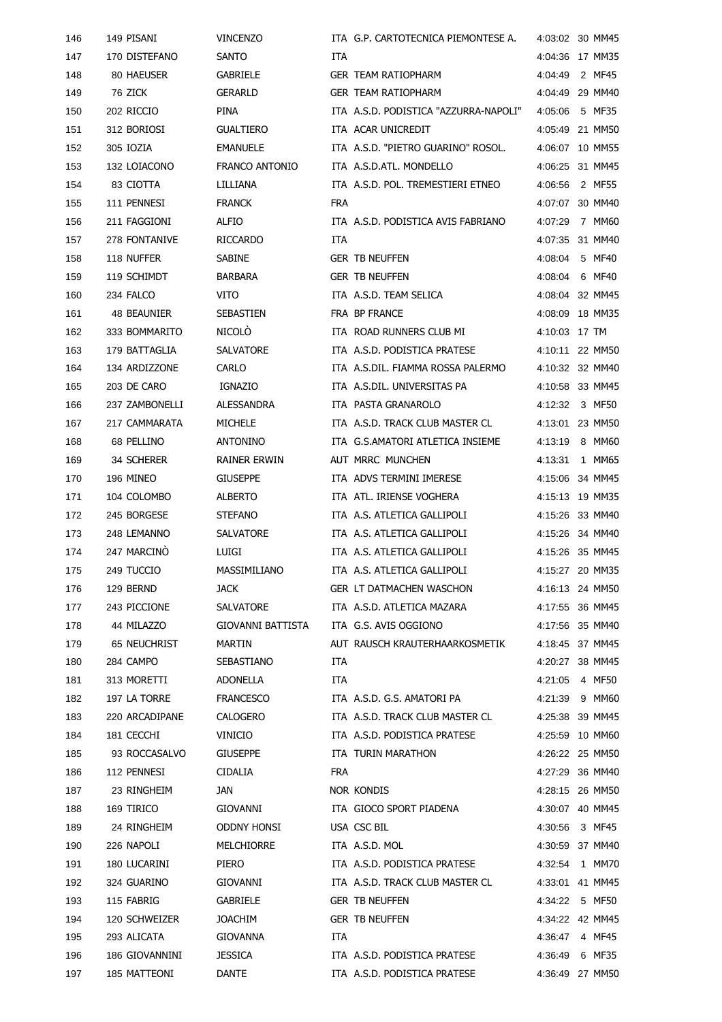| 146 | 149 PISANI        | <b>VINCENZO</b>       |            | ITA G.P. CARTOTECNICA PIEMONTESE A.   |               | 4:03:02 30 MM45 |
|-----|-------------------|-----------------------|------------|---------------------------------------|---------------|-----------------|
| 147 | 170 DISTEFANO     | <b>SANTO</b>          | ITA        |                                       | 4:04:36       | 17 MM35         |
| 148 | 80 HAEUSER        | <b>GABRIELE</b>       |            | <b>GER TEAM RATIOPHARM</b>            | 4:04:49       | 2 MF45          |
| 149 | 76 ZICK           | <b>GERARLD</b>        |            | <b>GER TEAM RATIOPHARM</b>            | 4:04:49       | 29 MM40         |
| 150 | 202 RICCIO        | PINA                  |            | ITA A.S.D. PODISTICA "AZZURRA-NAPOLI" | 4:05:06       | 5 MF35          |
| 151 | 312 BORIOSI       | <b>GUALTIERO</b>      |            | ITA ACAR UNICREDIT                    |               | 4:05:49 21 MM50 |
| 152 | 305 IOZIA         | <b>EMANUELE</b>       |            | ITA A.S.D. "PIETRO GUARINO" ROSOL.    |               | 4:06:07 10 MM55 |
| 153 | 132 LOIACONO      | <b>FRANCO ANTONIO</b> |            | ITA A.S.D.ATL. MONDELLO               | 4:06:25       | 31 MM45         |
| 154 | 83 CIOTTA         | LILLIANA              |            | ITA A.S.D. POL. TREMESTIERI ETNEO     | 4:06:56       | 2 MF55          |
| 155 | 111 PENNESI       | <b>FRANCK</b>         | <b>FRA</b> |                                       | 4:07:07       | 30 MM40         |
| 156 | 211 FAGGIONI      | ALFIO                 |            | ITA A.S.D. PODISTICA AVIS FABRIANO    | 4:07:29       | 7 MM60          |
| 157 | 278 FONTANIVE     | <b>RICCARDO</b>       | ITA        |                                       | 4:07:35       | 31 MM40         |
| 158 | 118 NUFFER        | SABINE                |            | <b>GER TB NEUFFEN</b>                 | 4:08:04       | 5 MF40          |
| 159 | 119 SCHIMDT       | <b>BARBARA</b>        |            | <b>GER TB NEUFFEN</b>                 | 4:08:04       | 6 MF40          |
| 160 | 234 FALCO         | VITO                  |            | ITA A.S.D. TEAM SELICA                |               | 4:08:04 32 MM45 |
| 161 | 48 BEAUNIER       | <b>SEBASTIEN</b>      |            | FRA BP FRANCE                         | 4:08:09       | 18 MM35         |
| 162 | 333 BOMMARITO     | <b>NICOLO</b>         |            | ITA ROAD RUNNERS CLUB MI              | 4:10:03 17 TM |                 |
| 163 | 179 BATTAGLIA     | SALVATORE             |            | ITA A.S.D. PODISTICA PRATESE          |               | 4:10:11 22 MM50 |
| 164 | 134 ARDIZZONE     | CARLO                 |            | ITA A.S.DIL. FIAMMA ROSSA PALERMO     |               | 4:10:32 32 MM40 |
| 165 | 203 DE CARO       | <b>IGNAZIO</b>        |            | ITA A.S.DIL. UNIVERSITAS PA           |               | 4:10:58 33 MM45 |
| 166 | 237 ZAMBONELLI    | <b>ALESSANDRA</b>     |            | ITA PASTA GRANAROLO                   | 4:12:32       | 3 MF50          |
| 167 | 217 CAMMARATA     | <b>MICHELE</b>        |            | ITA A.S.D. TRACK CLUB MASTER CL       | 4:13:01       | 23 MM50         |
| 168 | 68 PELLINO        | <b>ANTONINO</b>       |            | ITA G.S.AMATORI ATLETICA INSIEME      | 4:13:19       | 8 MM60          |
| 169 | <b>34 SCHERER</b> | <b>RAINER ERWIN</b>   |            | AUT MRRC MUNCHEN                      | 4.13.31       | 1 MM65          |
| 170 | 196 MINEO         | <b>GIUSEPPE</b>       |            | ITA ADVS TERMINI IMERESE              |               | 4:15:06 34 MM45 |
| 171 | 104 COLOMBO       | <b>ALBERTO</b>        |            | ITA ATL. IRIENSE VOGHERA              |               | 4:15:13 19 MM35 |
| 172 | 245 BORGESE       | <b>STEFANO</b>        |            | ITA A.S. ATLETICA GALLIPOLI           |               | 4:15:26 33 MM40 |
| 173 | 248 LEMANNO       | SALVATORE             |            | ITA A.S. ATLETICA GALLIPOLI           |               | 4:15:26 34 MM40 |
| 174 | 247 MARCINO       | LUIGI                 |            | ITA A.S. ATLETICA GALLIPOLI           |               | 4:15:26 35 MM45 |
| 175 | 249 TUCCIO        | MASSIMILIANO          |            | ITA A.S. ATLETICA GALLIPOLI           |               | 4:15:27 20 MM35 |
| 176 | 129 BERND         | <b>JACK</b>           |            | <b>GER LT DATMACHEN WASCHON</b>       |               | 4:16:13 24 MM50 |
| 177 | 243 PICCIONE      | <b>SALVATORE</b>      |            | ITA A.S.D. ATLETICA MAZARA            |               | 4:17:55 36 MM45 |
| 178 | 44 MILAZZO        | GIOVANNI BATTISTA     |            | ITA G.S. AVIS OGGIONO                 |               | 4:17:56 35 MM40 |
| 179 | 65 NEUCHRIST      | MARTIN                |            | AUT RAUSCH KRAUTERHAARKOSMETIK        |               | 4:18:45 37 MM45 |
| 180 | 284 CAMPO         | SEBASTIANO            | <b>ITA</b> |                                       |               | 4:20:27 38 MM45 |
| 181 | 313 MORETTI       | ADONELLA              | <b>ITA</b> |                                       |               | 4:21:05  4 MF50 |
| 182 | 197 LA TORRE      | <b>FRANCESCO</b>      |            | ITA A.S.D. G.S. AMATORI PA            |               | 4:21:39 9 MM60  |
| 183 | 220 ARCADIPANE    | CALOGERO              |            | ITA A.S.D. TRACK CLUB MASTER CL       |               | 4:25:38 39 MM45 |
| 184 | 181 CECCHI        | VINICIO               |            | ITA A.S.D. PODISTICA PRATESE          |               | 4:25:59 10 MM60 |
| 185 | 93 ROCCASALVO     | GIUSEPPE              |            | ITA TURIN MARATHON                    |               | 4:26:22 25 MM50 |
| 186 | 112 PENNESI       | <b>CIDALIA</b>        | FRA        |                                       |               | 4:27:29 36 MM40 |
| 187 | 23 RINGHEIM       | JAN                   |            | NOR KONDIS                            |               | 4:28:15 26 MM50 |
| 188 | 169 TIRICO        | GIOVANNI              |            | ITA GIOCO SPORT PIADENA               |               | 4:30:07 40 MM45 |
| 189 | 24 RINGHEIM       | ODDNY HONSI           |            | USA CSC BIL                           |               | 4:30:56 3 MF45  |
| 190 | 226 NAPOLI        | MELCHIORRE            |            | ITA A.S.D. MOL                        |               | 4:30:59 37 MM40 |
| 191 | 180 LUCARINI      | PIERO                 |            | ITA A.S.D. PODISTICA PRATESE          |               | 4:32:54 1 MM70  |
| 192 | 324 GUARINO       | GIOVANNI              |            | ITA A.S.D. TRACK CLUB MASTER CL       |               | 4:33:01 41 MM45 |
| 193 | 115 FABRIG        | GABRIELE              |            | <b>GER TB NEUFFEN</b>                 |               | 4:34:22 5 MF50  |
| 194 | 120 SCHWEIZER     | JOACHIM               |            | <b>GER TB NEUFFEN</b>                 |               | 4:34:22 42 MM45 |
| 195 | 293 ALICATA       | GIOVANNA              | <b>ITA</b> |                                       |               | 4:36:47 4 MF45  |
| 196 | 186 GIOVANNINI    | <b>JESSICA</b>        |            | ITA A.S.D. PODISTICA PRATESE          |               | 4:36:49 6 MF35  |
| 197 | 185 MATTEONI      | <b>DANTE</b>          |            | ITA A.S.D. PODISTICA PRATESE          |               | 4:36:49 27 MM50 |